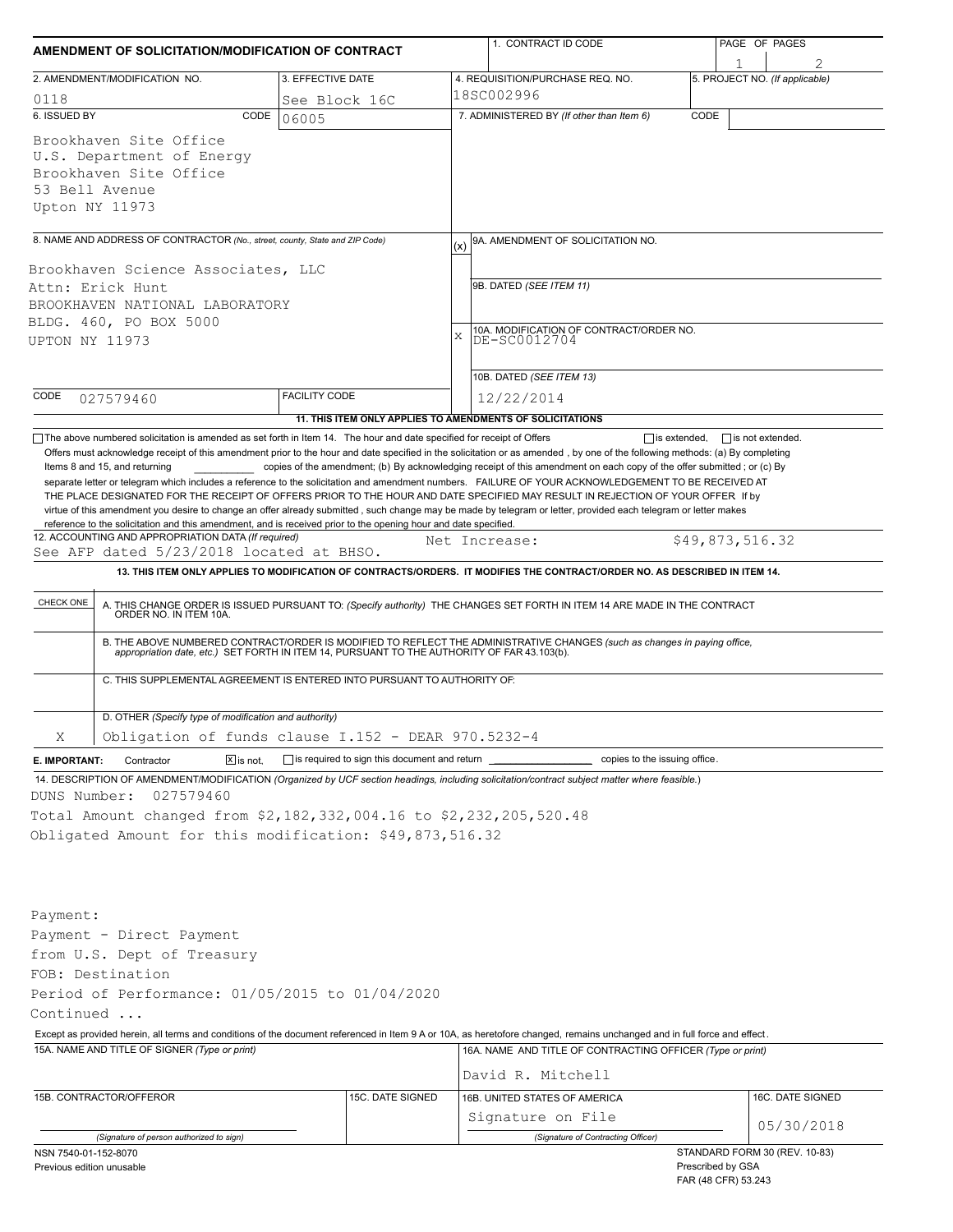| 2. AMENDMENT/MODIFICATION NO.<br>0118<br>6. ISSUED BY<br>CODE<br>Brookhaven Site Office<br>U.S. Department of Energy<br>Brookhaven Site Office<br>53 Bell Avenue<br>Upton NY 11973<br>8. NAME AND ADDRESS OF CONTRACTOR (No., street, county, State and ZIP Code)<br>Brookhaven Science Associates, LLC<br>Attn: Erick Hunt<br>BROOKHAVEN NATIONAL LABORATORY<br>BLDG. 460, PO BOX 5000<br>UPTON NY 11973<br>CODE<br>027579460<br>The above numbered solicitation is amended as set forth in Item 14. The hour and date specified for receipt of Offers<br>Offers must acknowledge receipt of this amendment prior to the hour and date specified in the solicitation or as amended, by one of the following methods: (a) By completing<br>Items 8 and 15, and returning<br>separate letter or telegram which includes a reference to the solicitation and amendment numbers. FAILURE OF YOUR ACKNOWLEDGEMENT TO BE RECEIVED AT<br>THE PLACE DESIGNATED FOR THE RECEIPT OF OFFERS PRIOR TO THE HOUR AND DATE SPECIFIED MAY RESULT IN REJECTION OF YOUR OFFER If by<br>virtue of this amendment you desire to change an offer already submitted, such change may be made by telegram or letter, provided each telegram or letter makes<br>reference to the solicitation and this amendment, and is received prior to the opening hour and date specified.<br>12. ACCOUNTING AND APPROPRIATION DATA (If required)<br>See AFP dated 5/23/2018 located at BHSO.<br>CHECK ONE<br>C. THIS SUPPLEMENTAL AGREEMENT IS ENTERED INTO PURSUANT TO AUTHORITY OF:<br>D. OTHER (Specify type of modification and authority)<br>Χ<br>Obligation of funds clause $I.152$ - DEAR 970.5232-4<br>$\boxed{\mathbf{X}}$ is not.<br>E. IMPORTANT:<br>Contractor<br>14. DESCRIPTION OF AMENDMENT/MODIFICATION (Organized by UCF section headings, including solicitation/contract subject matter where feasible.)<br>027579460<br>DUNS Number: | 3. EFFECTIVE DATE<br>See Block 16C<br>06005<br><b>FACILITY CODE</b><br>11. THIS ITEM ONLY APPLIES TO AMENDMENTS OF SOLICITATIONS | (x)<br>X | 4. REQUISITION/PURCHASE REQ. NO.<br>18SC002996<br>7. ADMINISTERED BY (If other than Item 6)<br>9A. AMENDMENT OF SOLICITATION NO.<br>9B. DATED (SEE ITEM 11)<br>10A. MODIFICATION OF CONTRACT/ORDER NO.<br>DE-SC0012704<br>10B. DATED (SEE ITEM 13)<br>12/22/2014<br>copies of the amendment; (b) By acknowledging receipt of this amendment on each copy of the offer submitted; or (c) By<br>Net Increase:<br>13. THIS ITEM ONLY APPLIES TO MODIFICATION OF CONTRACTS/ORDERS. IT MODIFIES THE CONTRACT/ORDER NO. AS DESCRIBED IN ITEM 14.<br>A. THIS CHANGE ORDER IS ISSUED PURSUANT TO: (Specify authority) THE CHANGES SET FORTH IN ITEM 14 ARE MADE IN THE CONTRACT ORDER NO. IN ITEM 10A.<br>B. THE ABOVE NUMBERED CONTRACT/ORDER IS MODIFIED TO REFLECT THE ADMINISTRATIVE CHANGES (such as changes in paying office,<br>appropriation date, etc.) SET FORTH IN ITEM 14, PURSUANT TO THE AUTHORITY OF FAR 43.103(b). | CODE<br>$\Box$ is extended, | 5. PROJECT NO. (If applicable)<br>$\Box$ is not extended.<br>\$49,873,516.32 |
|-------------------------------------------------------------------------------------------------------------------------------------------------------------------------------------------------------------------------------------------------------------------------------------------------------------------------------------------------------------------------------------------------------------------------------------------------------------------------------------------------------------------------------------------------------------------------------------------------------------------------------------------------------------------------------------------------------------------------------------------------------------------------------------------------------------------------------------------------------------------------------------------------------------------------------------------------------------------------------------------------------------------------------------------------------------------------------------------------------------------------------------------------------------------------------------------------------------------------------------------------------------------------------------------------------------------------------------------------------------------------------------------------------------------------------------------------------------------------------------------------------------------------------------------------------------------------------------------------------------------------------------------------------------------------------------------------------------------------------------------------------------------------------------------------------------------------------------------------------------------------------------------------------------------------|----------------------------------------------------------------------------------------------------------------------------------|----------|----------------------------------------------------------------------------------------------------------------------------------------------------------------------------------------------------------------------------------------------------------------------------------------------------------------------------------------------------------------------------------------------------------------------------------------------------------------------------------------------------------------------------------------------------------------------------------------------------------------------------------------------------------------------------------------------------------------------------------------------------------------------------------------------------------------------------------------------------------------------------------------------------------------------------|-----------------------------|------------------------------------------------------------------------------|
|                                                                                                                                                                                                                                                                                                                                                                                                                                                                                                                                                                                                                                                                                                                                                                                                                                                                                                                                                                                                                                                                                                                                                                                                                                                                                                                                                                                                                                                                                                                                                                                                                                                                                                                                                                                                                                                                                                                         |                                                                                                                                  |          |                                                                                                                                                                                                                                                                                                                                                                                                                                                                                                                                                                                                                                                                                                                                                                                                                                                                                                                            |                             |                                                                              |
|                                                                                                                                                                                                                                                                                                                                                                                                                                                                                                                                                                                                                                                                                                                                                                                                                                                                                                                                                                                                                                                                                                                                                                                                                                                                                                                                                                                                                                                                                                                                                                                                                                                                                                                                                                                                                                                                                                                         |                                                                                                                                  |          |                                                                                                                                                                                                                                                                                                                                                                                                                                                                                                                                                                                                                                                                                                                                                                                                                                                                                                                            |                             |                                                                              |
|                                                                                                                                                                                                                                                                                                                                                                                                                                                                                                                                                                                                                                                                                                                                                                                                                                                                                                                                                                                                                                                                                                                                                                                                                                                                                                                                                                                                                                                                                                                                                                                                                                                                                                                                                                                                                                                                                                                         |                                                                                                                                  |          |                                                                                                                                                                                                                                                                                                                                                                                                                                                                                                                                                                                                                                                                                                                                                                                                                                                                                                                            |                             |                                                                              |
|                                                                                                                                                                                                                                                                                                                                                                                                                                                                                                                                                                                                                                                                                                                                                                                                                                                                                                                                                                                                                                                                                                                                                                                                                                                                                                                                                                                                                                                                                                                                                                                                                                                                                                                                                                                                                                                                                                                         |                                                                                                                                  |          |                                                                                                                                                                                                                                                                                                                                                                                                                                                                                                                                                                                                                                                                                                                                                                                                                                                                                                                            |                             |                                                                              |
|                                                                                                                                                                                                                                                                                                                                                                                                                                                                                                                                                                                                                                                                                                                                                                                                                                                                                                                                                                                                                                                                                                                                                                                                                                                                                                                                                                                                                                                                                                                                                                                                                                                                                                                                                                                                                                                                                                                         |                                                                                                                                  |          |                                                                                                                                                                                                                                                                                                                                                                                                                                                                                                                                                                                                                                                                                                                                                                                                                                                                                                                            |                             |                                                                              |
|                                                                                                                                                                                                                                                                                                                                                                                                                                                                                                                                                                                                                                                                                                                                                                                                                                                                                                                                                                                                                                                                                                                                                                                                                                                                                                                                                                                                                                                                                                                                                                                                                                                                                                                                                                                                                                                                                                                         |                                                                                                                                  |          |                                                                                                                                                                                                                                                                                                                                                                                                                                                                                                                                                                                                                                                                                                                                                                                                                                                                                                                            |                             |                                                                              |
|                                                                                                                                                                                                                                                                                                                                                                                                                                                                                                                                                                                                                                                                                                                                                                                                                                                                                                                                                                                                                                                                                                                                                                                                                                                                                                                                                                                                                                                                                                                                                                                                                                                                                                                                                                                                                                                                                                                         |                                                                                                                                  |          |                                                                                                                                                                                                                                                                                                                                                                                                                                                                                                                                                                                                                                                                                                                                                                                                                                                                                                                            |                             |                                                                              |
|                                                                                                                                                                                                                                                                                                                                                                                                                                                                                                                                                                                                                                                                                                                                                                                                                                                                                                                                                                                                                                                                                                                                                                                                                                                                                                                                                                                                                                                                                                                                                                                                                                                                                                                                                                                                                                                                                                                         |                                                                                                                                  |          |                                                                                                                                                                                                                                                                                                                                                                                                                                                                                                                                                                                                                                                                                                                                                                                                                                                                                                                            |                             |                                                                              |
|                                                                                                                                                                                                                                                                                                                                                                                                                                                                                                                                                                                                                                                                                                                                                                                                                                                                                                                                                                                                                                                                                                                                                                                                                                                                                                                                                                                                                                                                                                                                                                                                                                                                                                                                                                                                                                                                                                                         |                                                                                                                                  |          |                                                                                                                                                                                                                                                                                                                                                                                                                                                                                                                                                                                                                                                                                                                                                                                                                                                                                                                            |                             |                                                                              |
|                                                                                                                                                                                                                                                                                                                                                                                                                                                                                                                                                                                                                                                                                                                                                                                                                                                                                                                                                                                                                                                                                                                                                                                                                                                                                                                                                                                                                                                                                                                                                                                                                                                                                                                                                                                                                                                                                                                         |                                                                                                                                  |          |                                                                                                                                                                                                                                                                                                                                                                                                                                                                                                                                                                                                                                                                                                                                                                                                                                                                                                                            |                             |                                                                              |
|                                                                                                                                                                                                                                                                                                                                                                                                                                                                                                                                                                                                                                                                                                                                                                                                                                                                                                                                                                                                                                                                                                                                                                                                                                                                                                                                                                                                                                                                                                                                                                                                                                                                                                                                                                                                                                                                                                                         |                                                                                                                                  |          |                                                                                                                                                                                                                                                                                                                                                                                                                                                                                                                                                                                                                                                                                                                                                                                                                                                                                                                            |                             |                                                                              |
|                                                                                                                                                                                                                                                                                                                                                                                                                                                                                                                                                                                                                                                                                                                                                                                                                                                                                                                                                                                                                                                                                                                                                                                                                                                                                                                                                                                                                                                                                                                                                                                                                                                                                                                                                                                                                                                                                                                         |                                                                                                                                  |          |                                                                                                                                                                                                                                                                                                                                                                                                                                                                                                                                                                                                                                                                                                                                                                                                                                                                                                                            |                             |                                                                              |
|                                                                                                                                                                                                                                                                                                                                                                                                                                                                                                                                                                                                                                                                                                                                                                                                                                                                                                                                                                                                                                                                                                                                                                                                                                                                                                                                                                                                                                                                                                                                                                                                                                                                                                                                                                                                                                                                                                                         |                                                                                                                                  |          |                                                                                                                                                                                                                                                                                                                                                                                                                                                                                                                                                                                                                                                                                                                                                                                                                                                                                                                            |                             |                                                                              |
|                                                                                                                                                                                                                                                                                                                                                                                                                                                                                                                                                                                                                                                                                                                                                                                                                                                                                                                                                                                                                                                                                                                                                                                                                                                                                                                                                                                                                                                                                                                                                                                                                                                                                                                                                                                                                                                                                                                         | $\Box$ is required to sign this document and return $\Box$                                                                       |          | copies to the issuing office.                                                                                                                                                                                                                                                                                                                                                                                                                                                                                                                                                                                                                                                                                                                                                                                                                                                                                              |                             |                                                                              |
| Total Amount changed from \$2,182,332,004.16 to \$2,232,205,520.48<br>Obligated Amount for this modification: \$49,873,516.32                                                                                                                                                                                                                                                                                                                                                                                                                                                                                                                                                                                                                                                                                                                                                                                                                                                                                                                                                                                                                                                                                                                                                                                                                                                                                                                                                                                                                                                                                                                                                                                                                                                                                                                                                                                           |                                                                                                                                  |          |                                                                                                                                                                                                                                                                                                                                                                                                                                                                                                                                                                                                                                                                                                                                                                                                                                                                                                                            |                             |                                                                              |
| Payment:<br>Payment - Direct Payment<br>from U.S. Dept of Treasury<br>FOB: Destination<br>Period of Performance: 01/05/2015 to 01/04/2020                                                                                                                                                                                                                                                                                                                                                                                                                                                                                                                                                                                                                                                                                                                                                                                                                                                                                                                                                                                                                                                                                                                                                                                                                                                                                                                                                                                                                                                                                                                                                                                                                                                                                                                                                                               |                                                                                                                                  |          |                                                                                                                                                                                                                                                                                                                                                                                                                                                                                                                                                                                                                                                                                                                                                                                                                                                                                                                            |                             |                                                                              |
| Continued                                                                                                                                                                                                                                                                                                                                                                                                                                                                                                                                                                                                                                                                                                                                                                                                                                                                                                                                                                                                                                                                                                                                                                                                                                                                                                                                                                                                                                                                                                                                                                                                                                                                                                                                                                                                                                                                                                               |                                                                                                                                  |          |                                                                                                                                                                                                                                                                                                                                                                                                                                                                                                                                                                                                                                                                                                                                                                                                                                                                                                                            |                             |                                                                              |
| Except as provided herein, all terms and conditions of the document referenced in Item 9 A or 10A, as heretofore changed, remains unchanged and in full force and effect.                                                                                                                                                                                                                                                                                                                                                                                                                                                                                                                                                                                                                                                                                                                                                                                                                                                                                                                                                                                                                                                                                                                                                                                                                                                                                                                                                                                                                                                                                                                                                                                                                                                                                                                                               |                                                                                                                                  |          |                                                                                                                                                                                                                                                                                                                                                                                                                                                                                                                                                                                                                                                                                                                                                                                                                                                                                                                            |                             |                                                                              |
| 15A. NAME AND TITLE OF SIGNER (Type or print)                                                                                                                                                                                                                                                                                                                                                                                                                                                                                                                                                                                                                                                                                                                                                                                                                                                                                                                                                                                                                                                                                                                                                                                                                                                                                                                                                                                                                                                                                                                                                                                                                                                                                                                                                                                                                                                                           |                                                                                                                                  |          | 16A. NAME AND TITLE OF CONTRACTING OFFICER (Type or print)                                                                                                                                                                                                                                                                                                                                                                                                                                                                                                                                                                                                                                                                                                                                                                                                                                                                 |                             |                                                                              |
|                                                                                                                                                                                                                                                                                                                                                                                                                                                                                                                                                                                                                                                                                                                                                                                                                                                                                                                                                                                                                                                                                                                                                                                                                                                                                                                                                                                                                                                                                                                                                                                                                                                                                                                                                                                                                                                                                                                         |                                                                                                                                  |          | David R. Mitchell                                                                                                                                                                                                                                                                                                                                                                                                                                                                                                                                                                                                                                                                                                                                                                                                                                                                                                          |                             |                                                                              |
| 15B. CONTRACTOR/OFFEROR                                                                                                                                                                                                                                                                                                                                                                                                                                                                                                                                                                                                                                                                                                                                                                                                                                                                                                                                                                                                                                                                                                                                                                                                                                                                                                                                                                                                                                                                                                                                                                                                                                                                                                                                                                                                                                                                                                 | 15C. DATE SIGNED                                                                                                                 |          | 16B. UNITED STATES OF AMERICA                                                                                                                                                                                                                                                                                                                                                                                                                                                                                                                                                                                                                                                                                                                                                                                                                                                                                              |                             | 16C. DATE SIGNED                                                             |
|                                                                                                                                                                                                                                                                                                                                                                                                                                                                                                                                                                                                                                                                                                                                                                                                                                                                                                                                                                                                                                                                                                                                                                                                                                                                                                                                                                                                                                                                                                                                                                                                                                                                                                                                                                                                                                                                                                                         |                                                                                                                                  |          | Signature on File                                                                                                                                                                                                                                                                                                                                                                                                                                                                                                                                                                                                                                                                                                                                                                                                                                                                                                          |                             |                                                                              |
| (Signature of person authorized to sign)                                                                                                                                                                                                                                                                                                                                                                                                                                                                                                                                                                                                                                                                                                                                                                                                                                                                                                                                                                                                                                                                                                                                                                                                                                                                                                                                                                                                                                                                                                                                                                                                                                                                                                                                                                                                                                                                                |                                                                                                                                  |          | (Signature of Contracting Officer)                                                                                                                                                                                                                                                                                                                                                                                                                                                                                                                                                                                                                                                                                                                                                                                                                                                                                         |                             | 05/30/2018                                                                   |
| NSN 7540-01-152-8070                                                                                                                                                                                                                                                                                                                                                                                                                                                                                                                                                                                                                                                                                                                                                                                                                                                                                                                                                                                                                                                                                                                                                                                                                                                                                                                                                                                                                                                                                                                                                                                                                                                                                                                                                                                                                                                                                                    |                                                                                                                                  |          |                                                                                                                                                                                                                                                                                                                                                                                                                                                                                                                                                                                                                                                                                                                                                                                                                                                                                                                            |                             |                                                                              |

| <b>I</b> TOODING BY OUT |  |
|-------------------------|--|
| FAR (48 CFR) 53.243     |  |